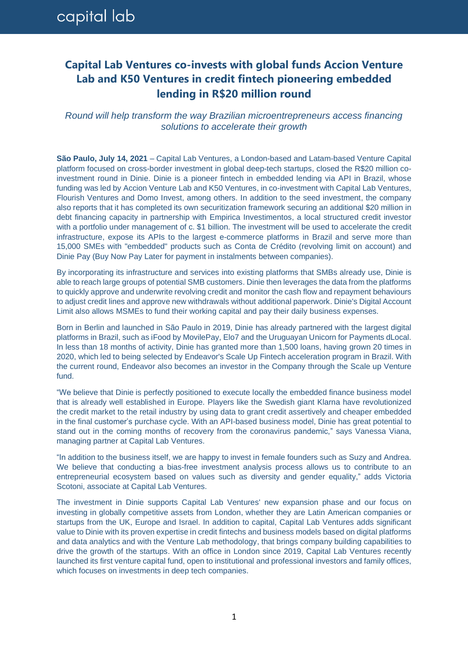## capital lab

## **Capital Lab Ventures co-invests with global funds Accion Venture Lab and K50 Ventures in credit fintech pioneering embedded lending in R\$20 million round**

*Round will help transform the way Brazilian microentrepreneurs access financing solutions to accelerate their growth*

**São Paulo, July 14, 2021** – Capital Lab Ventures, a London-based and Latam-based Venture Capital platform focused on cross-border investment in global deep-tech startups, closed the R\$20 million coinvestment round in Dinie. Dinie is a pioneer fintech in embedded lending via API in Brazil, whose funding was led by Accion Venture Lab and K50 Ventures, in co-investment with Capital Lab Ventures, Flourish Ventures and Domo Invest, among others. In addition to the seed investment, the company also reports that it has completed its own securitization framework securing an additional \$20 million in debt financing capacity in partnership with Empirica Investimentos, a local structured credit investor with a portfolio under management of c. \$1 billion. The investment will be used to accelerate the credit infrastructure, expose its APIs to the largest e-commerce platforms in Brazil and serve more than 15,000 SMEs with "embedded" products such as Conta de Crédito (revolving limit on account) and Dinie Pay (Buy Now Pay Later for payment in instalments between companies).

By incorporating its infrastructure and services into existing platforms that SMBs already use, Dinie is able to reach large groups of potential SMB customers. Dinie then leverages the data from the platforms to quickly approve and underwrite revolving credit and monitor the cash flow and repayment behaviours to adjust credit lines and approve new withdrawals without additional paperwork. Dinie's Digital Account Limit also allows MSMEs to fund their working capital and pay their daily business expenses.

Born in Berlin and launched in São Paulo in 2019, Dinie has already partnered with the largest digital platforms in Brazil, such as iFood by MovilePay, Elo7 and the Uruguayan Unicorn for Payments dLocal. In less than 18 months of activity, Dinie has granted more than 1,500 loans, having grown 20 times in 2020, which led to being selected by Endeavor's Scale Up Fintech acceleration program in Brazil. With the current round, Endeavor also becomes an investor in the Company through the Scale up Venture fund.

"We believe that Dinie is perfectly positioned to execute locally the embedded finance business model that is already well established in Europe. Players like the Swedish giant Klarna have revolutionized the credit market to the retail industry by using data to grant credit assertively and cheaper embedded in the final customer's purchase cycle. With an API-based business model, Dinie has great potential to stand out in the coming months of recovery from the coronavirus pandemic," says Vanessa Viana, managing partner at Capital Lab Ventures.

"In addition to the business itself, we are happy to invest in female founders such as Suzy and Andrea. We believe that conducting a bias-free investment analysis process allows us to contribute to an entrepreneurial ecosystem based on values such as diversity and gender equality," adds Victoria Scotoni, associate at Capital Lab Ventures.

The investment in Dinie supports Capital Lab Ventures' new expansion phase and our focus on investing in globally competitive assets from London, whether they are Latin American companies or startups from the UK, Europe and Israel. In addition to capital, Capital Lab Ventures adds significant value to Dinie with its proven expertise in credit fintechs and business models based on digital platforms and data analytics and with the Venture Lab methodology, that brings company building capabilities to drive the growth of the startups. With an office in London since 2019, Capital Lab Ventures recently launched its first venture capital fund, open to institutional and professional investors and family offices, which focuses on investments in deep tech companies.